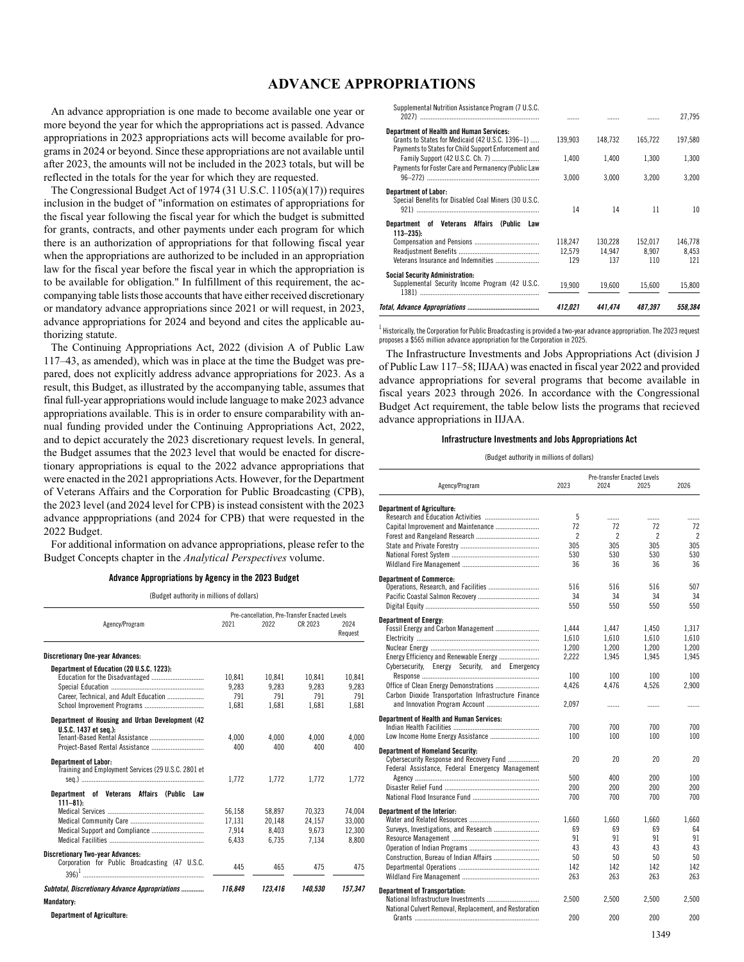## **ADVANCE APPROPRIATIONS**

An advance appropriation is one made to become available one year or more beyond the year for which the appropriations act is passed. Advance appropriations in 2023 appropriations acts will become available for programs in 2024 or beyond. Since these appropriations are not available until after 2023, the amounts will not be included in the 2023 totals, but will be reflected in the totals for the year for which they are requested.

The Congressional Budget Act of 1974 (31 U.S.C. 1105(a)(17)) requires inclusion in the budget of "information on estimates of appropriations for the fiscal year following the fiscal year for which the budget is submitted for grants, contracts, and other payments under each program for which there is an authorization of appropriations for that following fiscal year when the appropriations are authorized to be included in an appropriation law for the fiscal year before the fiscal year in which the appropriation is to be available for obligation." In fulfillment of this requirement, the accompanying table lists those accounts that have either received discretionary or mandatory advance appropriations since 2021 or will request, in 2023, advance appropriations for 2024 and beyond and cites the applicable authorizing statute.

The Continuing Appropriations Act, 2022 (division A of Public Law 117–43, as amended), which was in place at the time the Budget was prepared, does not explicitly address advance appropriations for 2023. As a result, this Budget, as illustrated by the accompanying table, assumes that final full-year appropriations would include language to make 2023 advance appropriations available. This is in order to ensure comparability with annual funding provided under the Continuing Appropriations Act, 2022, and to depict accurately the 2023 discretionary request levels. In general, the Budget assumes that the 2023 level that would be enacted for discretionary appropriations is equal to the 2022 advance appropriations that were enacted in the 2021 appropriations Acts. However, for the Department of Veterans Affairs and the Corporation for Public Broadcasting (CPB), the 2023 level (and 2024 level for CPB) is instead consistent with the 2023 advance apppropriations (and 2024 for CPB) that were requested in the 2022 Budget.

For additional information on advance appropriations, please refer to the Budget Concepts chapter in the *Analytical Perspectives* volume.

## **Advance Appropriations by Agency in the 2023 Budget**

(Budget authority in millions of dollars)

|                                                                                    | Pre-cancellation, Pre-Transfer Enacted Levels |         |         |                 |  |
|------------------------------------------------------------------------------------|-----------------------------------------------|---------|---------|-----------------|--|
| Agency/Program                                                                     | 2021                                          | 2022    | CR 2023 | 2024<br>Request |  |
| <b>Discretionary One-year Advances:</b>                                            |                                               |         |         |                 |  |
| Department of Education (20 U.S.C. 1223):                                          |                                               |         |         |                 |  |
|                                                                                    | 10.841                                        | 10.841  | 10.841  | 10.841          |  |
|                                                                                    | 9.283                                         | 9.283   | 9.283   | 9.283           |  |
| Career, Technical, and Adult Education                                             | 791                                           | 791     | 791     | 791             |  |
|                                                                                    | 1.681                                         | 1.681   | 1.681   | 1.681           |  |
| Department of Housing and Urban Development (42<br>U.S.C. 1437 et sea.):           |                                               |         |         |                 |  |
|                                                                                    | 4.000                                         | 4.000   | 4.000   | 4.000           |  |
|                                                                                    | 400                                           | 400     | 400     | 400             |  |
| <b>Department of Labor:</b><br>Training and Employment Services (29 U.S.C. 2801 et | 1.772                                         | 1.772   | 1.772   | 1.772           |  |
|                                                                                    |                                               |         |         |                 |  |
| Department of Veterans Affairs (Public<br>Law<br>$111 - 81$                        |                                               |         |         |                 |  |
|                                                                                    | 56.158                                        | 58.897  | 70.323  | 74.004          |  |
|                                                                                    | 17.131                                        | 20.148  | 24.157  | 33.000          |  |
|                                                                                    | 7.914                                         | 8.403   | 9.673   | 12.300          |  |
|                                                                                    | 6.433                                         | 6.735   | 7.134   | 8.800           |  |
| <b>Discretionary Two-year Advances:</b>                                            |                                               |         |         |                 |  |
| Corporation for Public Broadcasting (47 U.S.C.                                     | 445                                           | 465     | 475     | 475             |  |
| Subtotal, Discretionary Advance Appropriations                                     | 116.849                                       | 123.416 | 140.530 | 157.347         |  |
| Mandatory:                                                                         |                                               |         |         |                 |  |

**Department of Agriculture:**

Supplemental Nutrition Assistance Program (7 U.S.C.

|                                                                                                     | 412.021           | 441.474           | 487.397          | 558,384          |
|-----------------------------------------------------------------------------------------------------|-------------------|-------------------|------------------|------------------|
| <b>Social Security Administration:</b><br>Supplemental Security Income Program (42 U.S.C.           | 19.900            | 19.600            | 15.600           | 15,800           |
|                                                                                                     | 129               | 137               | 110              | 121              |
|                                                                                                     | 118.247<br>12.579 | 130.228<br>14.947 | 152.017<br>8.907 | 146.778<br>8.453 |
| Department of Veterans<br>Affairs<br>(Public<br>Law<br>$113 - 235$ :                                |                   |                   |                  |                  |
| <b>Department of Labor:</b><br>Special Benefits for Disabled Coal Miners (30 U.S.C.                 | 14                | 14                | 11               | 10               |
| Payments for Foster Care and Permanency (Public Law                                                 | 3.000             | 3.000             | 3.200            | 3.200            |
| Payments to States for Child Support Enforcement and                                                | 1.400             | 1.400             | 1.300            | 1.300            |
| <b>Department of Health and Human Services:</b><br>Grants to States for Medicaid (42 U.S.C. 1396-1) | 139.903           | 148.732           | 165.722          | 197,580          |
|                                                                                                     |                   |                   |                  | 27.795           |

 $^{\rm 1}$  Historically, the Corporation for Public Broadcasting is provided a two-year advance appropriation. The 2023 request proposes a \$565 million advance appropriation for the Corporation in 2025.

The Infrastructure Investments and Jobs Appropriations Act (division J of Public Law 117–58; IIJAA) was enacted in fiscal year 2022 and provided advance appropriations for several programs that become available in fiscal years 2023 through 2026. In accordance with the Congressional Budget Act requirement, the table below lists the programs that recieved advance appropriations in IIJAA.

## **Infrastructure Investments and Jobs Appropriations Act**

(Budget authority in millions of dollars)

|                                                                                              |       | Pre-transfer Enacted Levels |       |                |
|----------------------------------------------------------------------------------------------|-------|-----------------------------|-------|----------------|
| Agency/Program                                                                               | 2023  | 2024                        | 2025  | 2026           |
| <b>Department of Agriculture:</b>                                                            |       |                             |       |                |
|                                                                                              | 5     | .                           | .     | .              |
| Capital Improvement and Maintenance                                                          | 72    | 72                          | 72    | 72             |
|                                                                                              | 2     | 2                           | 2     | $\mathfrak{p}$ |
|                                                                                              | 305   | 305                         | 305   | 305            |
|                                                                                              | 530   | 530                         | 530   | 530            |
|                                                                                              | 36    | 36                          | 36    | 36             |
| <b>Department of Commerce:</b>                                                               |       |                             |       |                |
|                                                                                              | 516   | 516                         | 516   | 507            |
|                                                                                              | 34    | 34                          | 34    | 34             |
|                                                                                              | 550   | 550                         | 550   | 550            |
| <b>Department of Energy:</b>                                                                 |       |                             |       |                |
| Fossil Energy and Carbon Management                                                          | 1.444 | 1.447                       | 1.450 | 1.317          |
|                                                                                              | 1,610 | 1,610                       | 1,610 | 1,610          |
|                                                                                              | 1.200 | 1.200                       | 1.200 | 1.200          |
| Energy Efficiency and Renewable Energy                                                       | 2,222 | 1,945                       | 1.945 | 1,945          |
| Cybersecurity, Energy Security,<br>and<br>Emergency                                          |       |                             |       |                |
|                                                                                              | 100   | 100                         | 100   | 100            |
|                                                                                              | 4,426 | 4.476                       | 4.526 | 2,900          |
| Carbon Dioxide Transportation Infrastructure Finance                                         |       |                             |       |                |
|                                                                                              | 2,097 | .                           | .     | .              |
| <b>Department of Health and Human Services:</b>                                              | 700   | 700                         | 700   | 700            |
|                                                                                              |       |                             |       |                |
|                                                                                              | 100   | 100                         | 100   | 100            |
| <b>Department of Homeland Security:</b>                                                      | 20    | 20                          | 20    | 20             |
| Cybersecurity Response and Recovery Fund<br>Federal Assistance, Federal Emergency Management |       |                             |       |                |
|                                                                                              | 500   | 400                         | 200   | 100            |
|                                                                                              | 200   | 200                         | 200   | 200            |
|                                                                                              |       |                             |       |                |
|                                                                                              | 700   | 700                         | 700   | 700            |
| Department of the Interior:                                                                  | 1,660 | 1,660                       | 1,660 | 1.660          |
|                                                                                              | 69    | 69                          | 69    | 64             |
|                                                                                              | 91    | 91                          | 91    | 91             |
|                                                                                              | 43    | 43                          | 43    | 43             |
| Construction, Bureau of Indian Affairs                                                       | 50    | 50                          | 50    | 50             |
|                                                                                              | 142   | 142                         | 142   | 142            |
|                                                                                              | 263   | 263                         | 263   | 263            |
| <b>Department of Transportation:</b>                                                         |       |                             |       |                |
|                                                                                              | 2,500 | 2,500                       | 2,500 | 2,500          |
| National Culvert Removal, Replacement, and Restoration                                       |       |                             |       |                |
|                                                                                              | 200   | 200                         | 200   | 200            |
|                                                                                              |       |                             | 1349  |                |